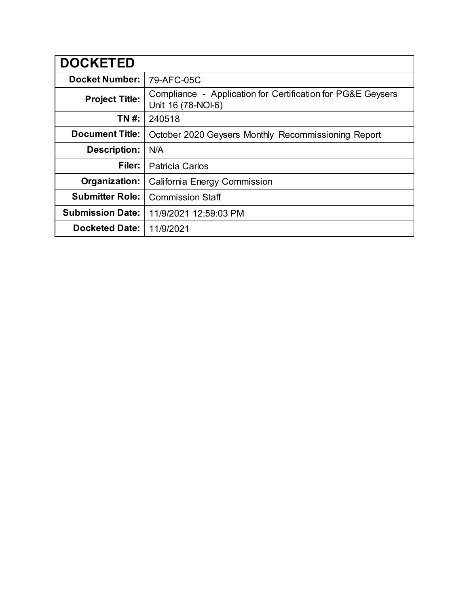| <b>DOCKETED</b>         |                                                                                   |
|-------------------------|-----------------------------------------------------------------------------------|
| <b>Docket Number:</b>   | 79-AFC-05C                                                                        |
| <b>Project Title:</b>   | Compliance - Application for Certification for PG&E Geysers<br>Unit 16 (78-NOI-6) |
| TN #:                   | 240518                                                                            |
| <b>Document Title:</b>  | October 2020 Geysers Monthly Recommissioning Report                               |
| <b>Description:</b>     | N/A                                                                               |
| Filer:                  | <b>Patricia Carlos</b>                                                            |
| Organization:           | <b>California Energy Commission</b>                                               |
| <b>Submitter Role:</b>  | <b>Commission Staff</b>                                                           |
| <b>Submission Date:</b> | 11/9/2021 12:59:03 PM                                                             |
| <b>Docketed Date:</b>   | 11/9/2021                                                                         |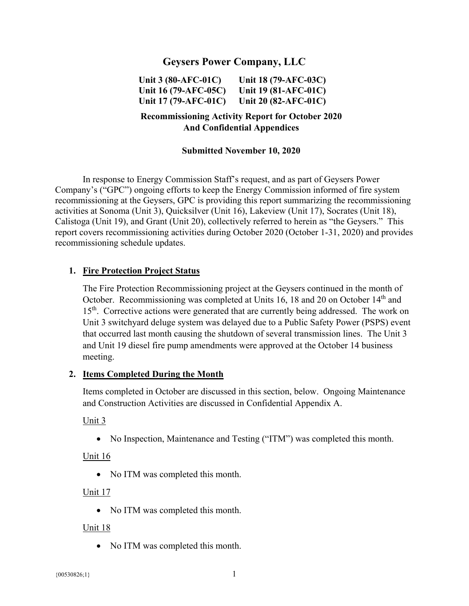# **Geysers Power Company, LLC**

**Unit 3 (80-AFC-01C) Unit 16 (79-AFC-05C) Unit 17 (79-AFC-01C) Unit 18 (79-AFC-03C) Unit 19 (81-AFC-01C) Unit 20 (82-AFC-01C)** 

# **Recommissioning Activity Report for October 2020 And Confidential Appendices**

#### **Submitted November 10, 2020**

In response to Energy Commission Staff's request, and as part of Geysers Power Company's ("GPC") ongoing efforts to keep the Energy Commission informed of fire system recommissioning at the Geysers, GPC is providing this report summarizing the recommissioning activities at Sonoma (Unit 3), Quicksilver (Unit 16), Lakeview (Unit 17), Socrates (Unit 18), Calistoga (Unit 19), and Grant (Unit 20), collectively referred to herein as "the Geysers." This report covers recommissioning activities during October 2020 (October 1-31, 2020) and provides recommissioning schedule updates.

### **1. Fire Protection Project Status**

The Fire Protection Recommissioning project at the Geysers continued in the month of October. Recommissioning was completed at Units 16, 18 and 20 on October 14<sup>th</sup> and 15<sup>th</sup>. Corrective actions were generated that are currently being addressed. The work on Unit 3 switchyard deluge system was delayed due to a Public Safety Power (PSPS) event that occurred last month causing the shutdown of several transmission lines. The Unit 3 and Unit 19 diesel fire pump amendments were approved at the October 14 business meeting.

### **2. Items Completed During the Month**

Items completed in October are discussed in this section, below. Ongoing Maintenance and Construction Activities are discussed in Confidential Appendix A.

#### Unit 3

No Inspection, Maintenance and Testing ("ITM") was completed this month.

#### Unit 16

• No ITM was completed this month.

#### Unit 17

• No ITM was completed this month.

#### Unit 18

• No ITM was completed this month.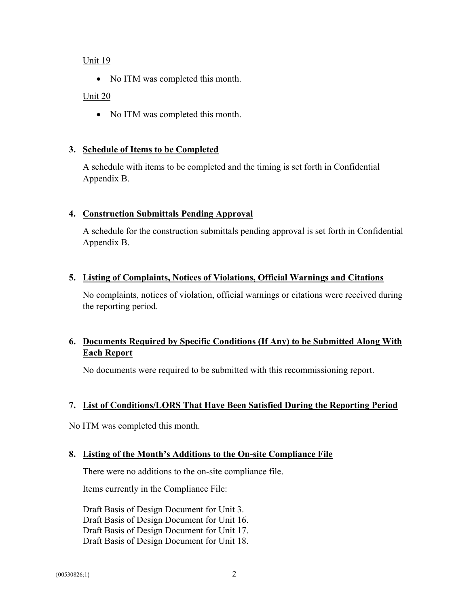### Unit 19

• No ITM was completed this month.

### Unit 20

• No ITM was completed this month.

### **3. Schedule of Items to be Completed**

A schedule with items to be completed and the timing is set forth in Confidential Appendix B.

# **4. Construction Submittals Pending Approval**

A schedule for the construction submittals pending approval is set forth in Confidential Appendix B.

# **5. Listing of Complaints, Notices of Violations, Official Warnings and Citations**

No complaints, notices of violation, official warnings or citations were received during the reporting period.

# **6. Documents Required by Specific Conditions (If Any) to be Submitted Along With Each Report**

No documents were required to be submitted with this recommissioning report.

# **7. List of Conditions/LORS That Have Been Satisfied During the Reporting Period**

No ITM was completed this month.

### **8. Listing of the Month's Additions to the On-site Compliance File**

There were no additions to the on-site compliance file.

Items currently in the Compliance File:

Draft Basis of Design Document for Unit 3. Draft Basis of Design Document for Unit 16. Draft Basis of Design Document for Unit 17. Draft Basis of Design Document for Unit 18.